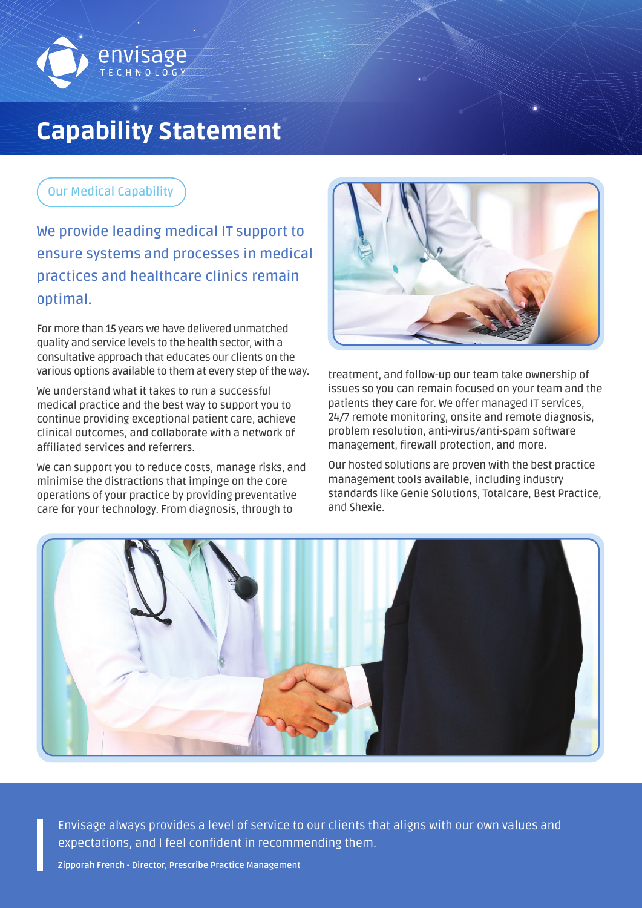

# Capability Statement

# **Our Medical Capability**

**We provide leading medical IT support to ensure systems and processes in medical practices and healthcare clinics remain optimal.**

For more than 15 years we have delivered unmatched quality and service levels to the health sector, with a consultative approach that educates our clients on the various options available to them at every step of the way.

We understand what it takes to run a successful medical practice and the best way to support you to continue providing exceptional patient care, achieve clinical outcomes, and collaborate with a network of affiliated services and referrers.

We can support you to reduce costs, manage risks, and minimise the distractions that impinge on the core operations of your practice by providing preventative care for your technology. From diagnosis, through to



treatment, and follow-up our team take ownership of issues so you can remain focused on your team and the patients they care for. We offer managed IT services, 24/7 remote monitoring, onsite and remote diagnosis, problem resolution, anti-virus/anti-spam software management, firewall protection, and more.

Our hosted solutions are proven with the best practice management tools available, including industry standards like Genie Solutions, Totalcare, Best Practice, and Shexie.



Envisage always provides a level of service to our clients that aligns with our own values and expectations, and I feel confident in recommending them.

Zipporah French - Director, Prescribe Practice Management